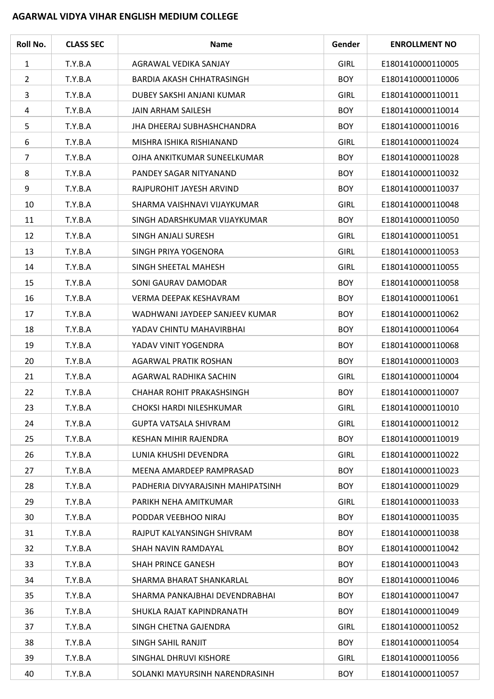## **AGARWAL VIDYA VIHAR ENGLISH MEDIUM COLLEGE**

| Roll No.       | <b>CLASS SEC</b> | <b>Name</b>                       | Gender      | <b>ENROLLMENT NO</b> |
|----------------|------------------|-----------------------------------|-------------|----------------------|
| $\mathbf{1}$   | T.Y.B.A          | AGRAWAL VEDIKA SANJAY             | <b>GIRL</b> | E1801410000110005    |
| $\overline{2}$ | T.Y.B.A          | <b>BARDIA AKASH CHHATRASINGH</b>  | <b>BOY</b>  | E1801410000110006    |
| 3              | T.Y.B.A          | DUBEY SAKSHI ANJANI KUMAR         | <b>GIRL</b> | E1801410000110011    |
| 4              | T.Y.B.A          | <b>JAIN ARHAM SAILESH</b>         | <b>BOY</b>  | E1801410000110014    |
| 5              | T.Y.B.A          | JHA DHEERAJ SUBHASHCHANDRA        | <b>BOY</b>  | E1801410000110016    |
| 6              | T.Y.B.A          | MISHRA ISHIKA RISHIANAND          | <b>GIRL</b> | E1801410000110024    |
| $\overline{7}$ | T.Y.B.A          | OJHA ANKITKUMAR SUNEELKUMAR       | <b>BOY</b>  | E1801410000110028    |
| 8              | T.Y.B.A          | PANDEY SAGAR NITYANAND            | <b>BOY</b>  | E1801410000110032    |
| 9              | T.Y.B.A          | RAJPUROHIT JAYESH ARVIND          | <b>BOY</b>  | E1801410000110037    |
| 10             | T.Y.B.A          | SHARMA VAISHNAVI VIJAYKUMAR       | <b>GIRL</b> | E1801410000110048    |
| 11             | T.Y.B.A          | SINGH ADARSHKUMAR VIJAYKUMAR      | <b>BOY</b>  | E1801410000110050    |
| 12             | T.Y.B.A          | SINGH ANJALI SURESH               | <b>GIRL</b> | E1801410000110051    |
| 13             | T.Y.B.A          | SINGH PRIYA YOGENORA              | <b>GIRL</b> | E1801410000110053    |
| 14             | T.Y.B.A          | SINGH SHEETAL MAHESH              | <b>GIRL</b> | E1801410000110055    |
| 15             | T.Y.B.A          | SONI GAURAV DAMODAR               | <b>BOY</b>  | E1801410000110058    |
| 16             | T.Y.B.A          | VERMA DEEPAK KESHAVRAM            | <b>BOY</b>  | E1801410000110061    |
| 17             | T.Y.B.A          | WADHWANI JAYDEEP SANJEEV KUMAR    | <b>BOY</b>  | E1801410000110062    |
| 18             | T.Y.B.A          | YADAV CHINTU MAHAVIRBHAI          | <b>BOY</b>  | E1801410000110064    |
| 19             | T.Y.B.A          | YADAV VINIT YOGENDRA              | <b>BOY</b>  | E1801410000110068    |
| 20             | T.Y.B.A          | <b>AGARWAL PRATIK ROSHAN</b>      | <b>BOY</b>  | E1801410000110003    |
| 21             | T.Y.B.A          | AGARWAL RADHIKA SACHIN            | <b>GIRL</b> | E1801410000110004    |
| 22             | T.Y.B.A          | <b>CHAHAR ROHIT PRAKASHSINGH</b>  | <b>BOY</b>  | E1801410000110007    |
| 23             | T.Y.B.A          | CHOKSI HARDI NILESHKUMAR          | <b>GIRL</b> | E1801410000110010    |
| 24             | T.Y.B.A          | <b>GUPTA VATSALA SHIVRAM</b>      | <b>GIRL</b> | E1801410000110012    |
| 25             | T.Y.B.A          | KESHAN MIHIR RAJENDRA             | <b>BOY</b>  | E1801410000110019    |
| 26             | T.Y.B.A          | LUNIA KHUSHI DEVENDRA             | <b>GIRL</b> | E1801410000110022    |
| 27             | T.Y.B.A          | MEENA AMARDEEP RAMPRASAD          | <b>BOY</b>  | E1801410000110023    |
| 28             | T.Y.B.A          | PADHERIA DIVYARAJSINH MAHIPATSINH | <b>BOY</b>  | E1801410000110029    |
| 29             | T.Y.B.A          | PARIKH NEHA AMITKUMAR             | <b>GIRL</b> | E1801410000110033    |
| 30             | T.Y.B.A          | PODDAR VEEBHOO NIRAJ              | <b>BOY</b>  | E1801410000110035    |
| 31             | T.Y.B.A          | RAJPUT KALYANSINGH SHIVRAM        | <b>BOY</b>  | E1801410000110038    |
| 32             | T.Y.B.A          | SHAH NAVIN RAMDAYAL               | <b>BOY</b>  | E1801410000110042    |
| 33             | T.Y.B.A          | SHAH PRINCE GANESH                | <b>BOY</b>  | E1801410000110043    |
| 34             | T.Y.B.A          | SHARMA BHARAT SHANKARLAL          | <b>BOY</b>  | E1801410000110046    |
| 35             | T.Y.B.A          | SHARMA PANKAJBHAI DEVENDRABHAI    | <b>BOY</b>  | E1801410000110047    |
| 36             | T.Y.B.A          | SHUKLA RAJAT KAPINDRANATH         | <b>BOY</b>  | E1801410000110049    |
| 37             | T.Y.B.A          | SINGH CHETNA GAJENDRA             | <b>GIRL</b> | E1801410000110052    |
| 38             | T.Y.B.A          | SINGH SAHIL RANJIT                | <b>BOY</b>  | E1801410000110054    |
| 39             | T.Y.B.A          | SINGHAL DHRUVI KISHORE            | <b>GIRL</b> | E1801410000110056    |
| 40             | T.Y.B.A          | SOLANKI MAYURSINH NARENDRASINH    | <b>BOY</b>  | E1801410000110057    |